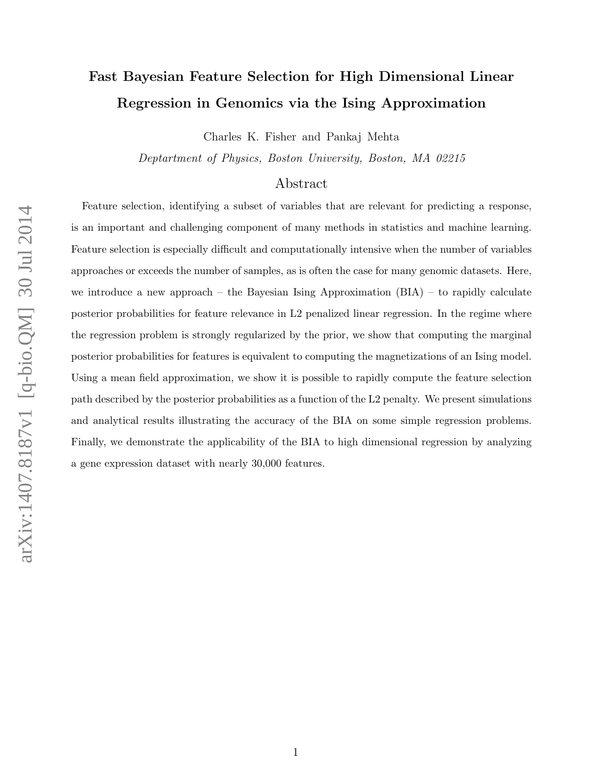# Fast Bayesian Feature Selection for High Dimensional Linear Regression in Genomics via the Ising Approximation

Charles K. Fisher and Pankaj Mehta

Deptartment of Physics, Boston University, Boston, MA 02215

# Abstract

Feature selection, identifying a subset of variables that are relevant for predicting a response, is an important and challenging component of many methods in statistics and machine learning. Feature selection is especially difficult and computationally intensive when the number of variables approaches or exceeds the number of samples, as is often the case for many genomic datasets. Here, we introduce a new approach – the Bayesian Ising Approximation  $(BIA)$  – to rapidly calculate posterior probabilities for feature relevance in L2 penalized linear regression. In the regime where the regression problem is strongly regularized by the prior, we show that computing the marginal posterior probabilities for features is equivalent to computing the magnetizations of an Ising model. Using a mean field approximation, we show it is possible to rapidly compute the feature selection path described by the posterior probabilities as a function of the L2 penalty. We present simulations and analytical results illustrating the accuracy of the BIA on some simple regression problems. Finally, we demonstrate the applicability of the BIA to high dimensional regression by analyzing a gene expression dataset with nearly 30,000 features.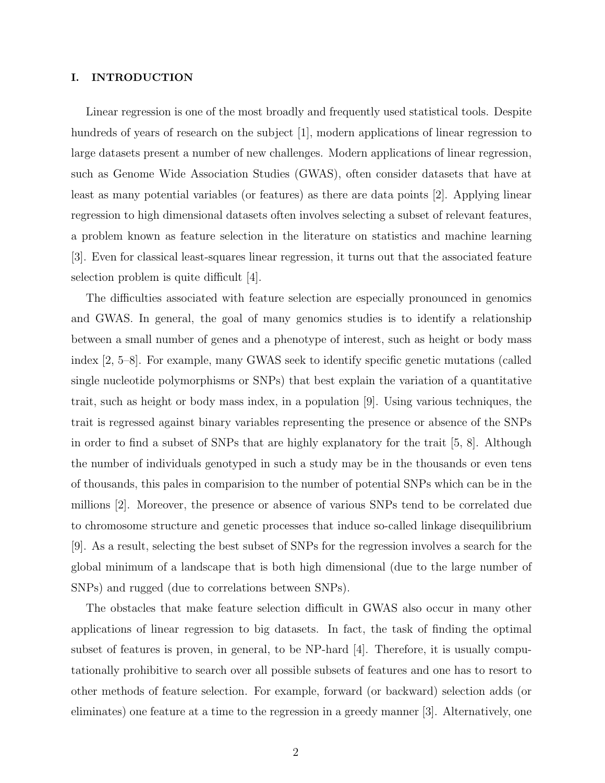# I. INTRODUCTION

Linear regression is one of the most broadly and frequently used statistical tools. Despite hundreds of years of research on the subject [1], modern applications of linear regression to large datasets present a number of new challenges. Modern applications of linear regression, such as Genome Wide Association Studies (GWAS), often consider datasets that have at least as many potential variables (or features) as there are data points [2]. Applying linear regression to high dimensional datasets often involves selecting a subset of relevant features, a problem known as feature selection in the literature on statistics and machine learning [3]. Even for classical least-squares linear regression, it turns out that the associated feature selection problem is quite difficult [4].

The difficulties associated with feature selection are especially pronounced in genomics and GWAS. In general, the goal of many genomics studies is to identify a relationship between a small number of genes and a phenotype of interest, such as height or body mass index [2, 5–8]. For example, many GWAS seek to identify specific genetic mutations (called single nucleotide polymorphisms or SNPs) that best explain the variation of a quantitative trait, such as height or body mass index, in a population [9]. Using various techniques, the trait is regressed against binary variables representing the presence or absence of the SNPs in order to find a subset of SNPs that are highly explanatory for the trait [5, 8]. Although the number of individuals genotyped in such a study may be in the thousands or even tens of thousands, this pales in comparision to the number of potential SNPs which can be in the millions [2]. Moreover, the presence or absence of various SNPs tend to be correlated due to chromosome structure and genetic processes that induce so-called linkage disequilibrium [9]. As a result, selecting the best subset of SNPs for the regression involves a search for the global minimum of a landscape that is both high dimensional (due to the large number of SNPs) and rugged (due to correlations between SNPs).

The obstacles that make feature selection difficult in GWAS also occur in many other applications of linear regression to big datasets. In fact, the task of finding the optimal subset of features is proven, in general, to be NP-hard [4]. Therefore, it is usually computationally prohibitive to search over all possible subsets of features and one has to resort to other methods of feature selection. For example, forward (or backward) selection adds (or eliminates) one feature at a time to the regression in a greedy manner [3]. Alternatively, one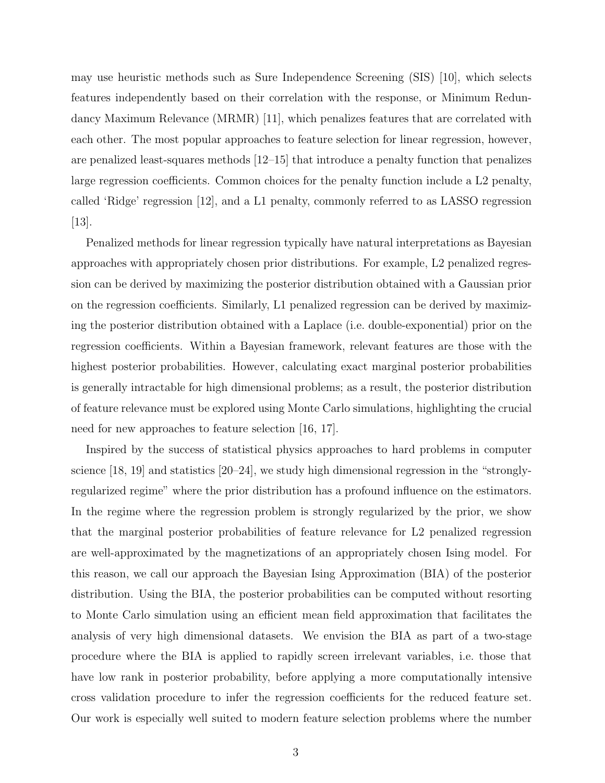may use heuristic methods such as Sure Independence Screening (SIS) [10], which selects features independently based on their correlation with the response, or Minimum Redundancy Maximum Relevance (MRMR) [11], which penalizes features that are correlated with each other. The most popular approaches to feature selection for linear regression, however, are penalized least-squares methods [12–15] that introduce a penalty function that penalizes large regression coefficients. Common choices for the penalty function include a L2 penalty, called 'Ridge' regression [12], and a L1 penalty, commonly referred to as LASSO regression [13].

Penalized methods for linear regression typically have natural interpretations as Bayesian approaches with appropriately chosen prior distributions. For example, L2 penalized regression can be derived by maximizing the posterior distribution obtained with a Gaussian prior on the regression coefficients. Similarly, L1 penalized regression can be derived by maximizing the posterior distribution obtained with a Laplace (i.e. double-exponential) prior on the regression coefficients. Within a Bayesian framework, relevant features are those with the highest posterior probabilities. However, calculating exact marginal posterior probabilities is generally intractable for high dimensional problems; as a result, the posterior distribution of feature relevance must be explored using Monte Carlo simulations, highlighting the crucial need for new approaches to feature selection [16, 17].

Inspired by the success of statistical physics approaches to hard problems in computer science [18, 19] and statistics [20–24], we study high dimensional regression in the "stronglyregularized regime" where the prior distribution has a profound influence on the estimators. In the regime where the regression problem is strongly regularized by the prior, we show that the marginal posterior probabilities of feature relevance for L2 penalized regression are well-approximated by the magnetizations of an appropriately chosen Ising model. For this reason, we call our approach the Bayesian Ising Approximation (BIA) of the posterior distribution. Using the BIA, the posterior probabilities can be computed without resorting to Monte Carlo simulation using an efficient mean field approximation that facilitates the analysis of very high dimensional datasets. We envision the BIA as part of a two-stage procedure where the BIA is applied to rapidly screen irrelevant variables, i.e. those that have low rank in posterior probability, before applying a more computationally intensive cross validation procedure to infer the regression coefficients for the reduced feature set. Our work is especially well suited to modern feature selection problems where the number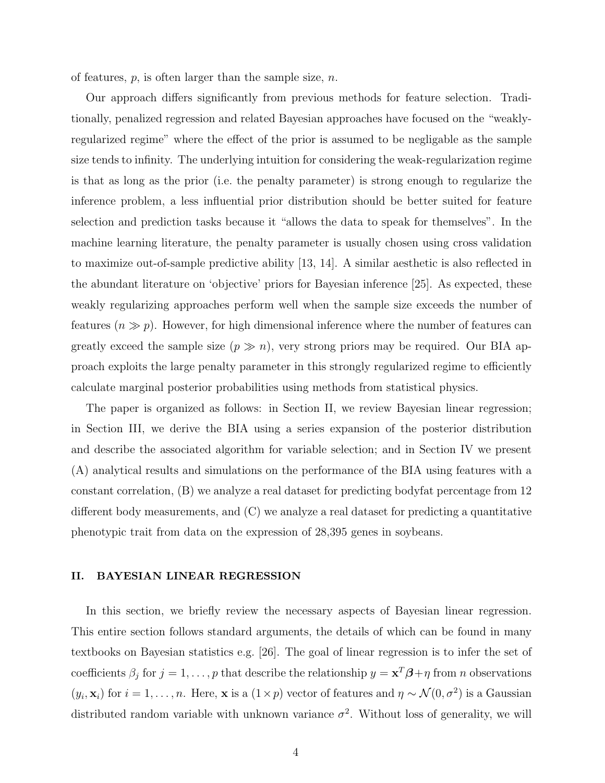of features,  $p$ , is often larger than the sample size,  $n$ .

Our approach differs significantly from previous methods for feature selection. Traditionally, penalized regression and related Bayesian approaches have focused on the "weaklyregularized regime" where the effect of the prior is assumed to be negligable as the sample size tends to infinity. The underlying intuition for considering the weak-regularization regime is that as long as the prior (i.e. the penalty parameter) is strong enough to regularize the inference problem, a less influential prior distribution should be better suited for feature selection and prediction tasks because it "allows the data to speak for themselves". In the machine learning literature, the penalty parameter is usually chosen using cross validation to maximize out-of-sample predictive ability [13, 14]. A similar aesthetic is also reflected in the abundant literature on 'objective' priors for Bayesian inference [25]. As expected, these weakly regularizing approaches perform well when the sample size exceeds the number of features  $(n \gg p)$ . However, for high dimensional inference where the number of features can greatly exceed the sample size  $(p \gg n)$ , very strong priors may be required. Our BIA approach exploits the large penalty parameter in this strongly regularized regime to efficiently calculate marginal posterior probabilities using methods from statistical physics.

The paper is organized as follows: in Section II, we review Bayesian linear regression; in Section III, we derive the BIA using a series expansion of the posterior distribution and describe the associated algorithm for variable selection; and in Section IV we present (A) analytical results and simulations on the performance of the BIA using features with a constant correlation, (B) we analyze a real dataset for predicting bodyfat percentage from 12 different body measurements, and (C) we analyze a real dataset for predicting a quantitative phenotypic trait from data on the expression of 28,395 genes in soybeans.

# II. BAYESIAN LINEAR REGRESSION

In this section, we briefly review the necessary aspects of Bayesian linear regression. This entire section follows standard arguments, the details of which can be found in many textbooks on Bayesian statistics e.g. [26]. The goal of linear regression is to infer the set of coefficients  $\beta_j$  for  $j = 1, \ldots, p$  that describe the relationship  $y = \mathbf{x}^T \boldsymbol{\beta} + \eta$  from *n* observations  $(y_i, \mathbf{x}_i)$  for  $i = 1, \ldots, n$ . Here, **x** is a  $(1 \times p)$  vector of features and  $\eta \sim \mathcal{N}(0, \sigma^2)$  is a Gaussian distributed random variable with unknown variance  $\sigma^2$ . Without loss of generality, we will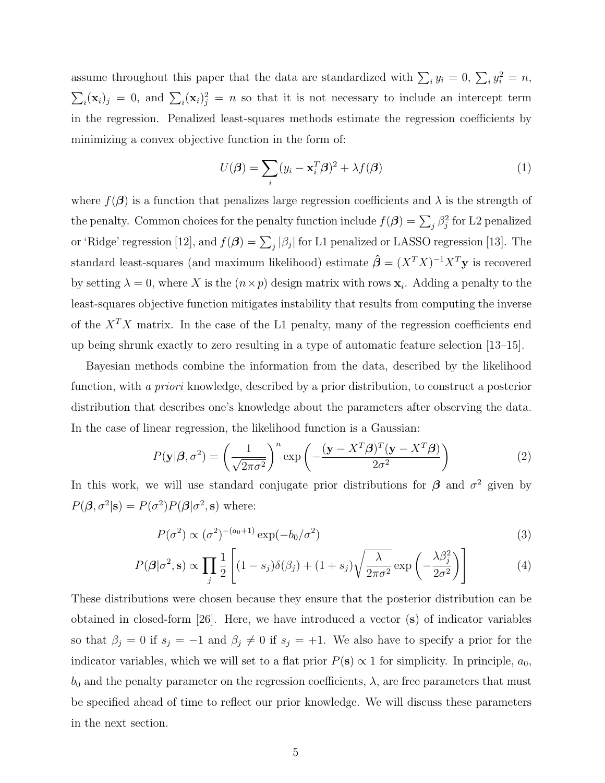assume throughout this paper that the data are standardized with  $\sum_i y_i = 0$ ,  $\sum_i y_i^2 = n$ ,  $\sum_i (\mathbf{x}_i)_j = 0$ , and  $\sum_i (\mathbf{x}_i)_j^2 = n$  so that it is not necessary to include an intercept term in the regression. Penalized least-squares methods estimate the regression coefficients by minimizing a convex objective function in the form of:

$$
U(\boldsymbol{\beta}) = \sum_{i} (y_i - \mathbf{x}_i^T \boldsymbol{\beta})^2 + \lambda f(\boldsymbol{\beta})
$$
\n(1)

where  $f(\beta)$  is a function that penalizes large regression coefficients and  $\lambda$  is the strength of the penalty. Common choices for the penalty function include  $f(\boldsymbol{\beta}) = \sum_j \beta_j^2$  for L2 penalized or 'Ridge' regression [12], and  $f(\beta) = \sum_j |\beta_j|$  for L1 penalized or LASSO regression [13]. The standard least-squares (and maximum likelihood) estimate  $\hat{\beta} = (X^T X)^{-1} X^T \mathbf{y}$  is recovered by setting  $\lambda = 0$ , where X is the  $(n \times p)$  design matrix with rows  $\mathbf{x}_i$ . Adding a penalty to the least-squares objective function mitigates instability that results from computing the inverse of the  $X^T X$  matrix. In the case of the L1 penalty, many of the regression coefficients end up being shrunk exactly to zero resulting in a type of automatic feature selection [13–15].

Bayesian methods combine the information from the data, described by the likelihood function, with a priori knowledge, described by a prior distribution, to construct a posterior distribution that describes one's knowledge about the parameters after observing the data. In the case of linear regression, the likelihood function is a Gaussian:

$$
P(\mathbf{y}|\boldsymbol{\beta}, \sigma^2) = \left(\frac{1}{\sqrt{2\pi\sigma^2}}\right)^n \exp\left(-\frac{(\mathbf{y} - X^T\boldsymbol{\beta})^T(\mathbf{y} - X^T\boldsymbol{\beta})}{2\sigma^2}\right)
$$
(2)

In this work, we will use standard conjugate prior distributions for  $\beta$  and  $\sigma^2$  given by  $P(\boldsymbol{\beta}, \sigma^2 | \mathbf{s}) = P(\sigma^2) P(\boldsymbol{\beta} | \sigma^2, \mathbf{s})$  where:

$$
P(\sigma^2) \propto (\sigma^2)^{-(a_0+1)} \exp(-b_0/\sigma^2)
$$
\n
$$
\tag{3}
$$

$$
P(\boldsymbol{\beta}|\sigma^2, \mathbf{s}) \propto \prod_j \frac{1}{2} \left[ (1 - s_j) \delta(\beta_j) + (1 + s_j) \sqrt{\frac{\lambda}{2\pi\sigma^2}} \exp\left(-\frac{\lambda \beta_j^2}{2\sigma^2}\right) \right] \tag{4}
$$

These distributions were chosen because they ensure that the posterior distribution can be obtained in closed-form [26]. Here, we have introduced a vector (s) of indicator variables so that  $\beta_j = 0$  if  $s_j = -1$  and  $\beta_j \neq 0$  if  $s_j = +1$ . We also have to specify a prior for the indicator variables, which we will set to a flat prior  $P(s) \propto 1$  for simplicity. In principle,  $a_0$ ,  $b_0$  and the penalty parameter on the regression coefficients,  $\lambda$ , are free parameters that must be specified ahead of time to reflect our prior knowledge. We will discuss these parameters in the next section.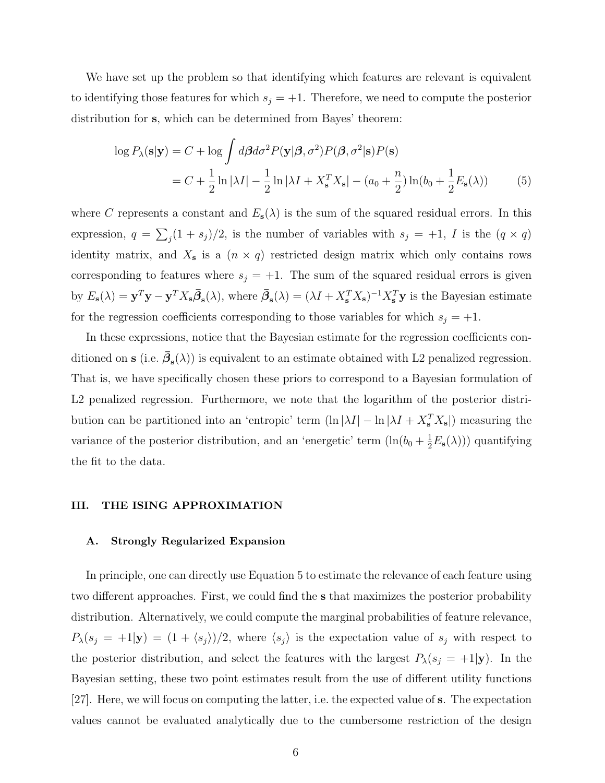We have set up the problem so that identifying which features are relevant is equivalent to identifying those features for which  $s_j = +1$ . Therefore, we need to compute the posterior distribution for s, which can be determined from Bayes' theorem:

$$
\log P_{\lambda}(\mathbf{s}|\mathbf{y}) = C + \log \int d\boldsymbol{\beta} d\sigma^2 P(\mathbf{y}|\boldsymbol{\beta}, \sigma^2) P(\boldsymbol{\beta}, \sigma^2 | \mathbf{s}) P(\mathbf{s})
$$
  
=  $C + \frac{1}{2} \ln |\lambda I| - \frac{1}{2} \ln |\lambda I + X_{\mathbf{s}}^T X_{\mathbf{s}}| - (a_0 + \frac{n}{2}) \ln(b_0 + \frac{1}{2} E_{\mathbf{s}}(\lambda))$  (5)

where C represents a constant and  $E_{s}(\lambda)$  is the sum of the squared residual errors. In this expression,  $q = \sum_j (1 + s_j)/2$ , is the number of variables with  $s_j = +1$ , I is the  $(q \times q)$ identity matrix, and  $X_{s}$  is a  $(n \times q)$  restricted design matrix which only contains rows corresponding to features where  $s_j = +1$ . The sum of the squared residual errors is given by  $E_s(\lambda) = \mathbf{y}^T \mathbf{y} - \mathbf{y}^T X_s \overline{\beta}_s(\lambda)$ , where  $\overline{\beta}_s(\lambda) = (\lambda I + X_s^T X_s)^{-1} X_s^T \mathbf{y}$  is the Bayesian estimate for the regression coefficients corresponding to those variables for which  $s_j = +1$ .

In these expressions, notice that the Bayesian estimate for the regression coefficients conditioned on **s** (i.e.  $\bar{\beta}_{s}(\lambda)$ ) is equivalent to an estimate obtained with L2 penalized regression. That is, we have specifically chosen these priors to correspond to a Bayesian formulation of L2 penalized regression. Furthermore, we note that the logarithm of the posterior distribution can be partitioned into an 'entropic' term  $(\ln |\lambda I| - \ln |\lambda I + X_s^T X_s|)$  measuring the variance of the posterior distribution, and an 'energetic' term  $(\ln(b_0 + \frac{1}{2}E_s(\lambda)))$  quantifying the fit to the data.

# III. THE ISING APPROXIMATION

#### A. Strongly Regularized Expansion

In principle, one can directly use Equation 5 to estimate the relevance of each feature using two different approaches. First, we could find the s that maximizes the posterior probability distribution. Alternatively, we could compute the marginal probabilities of feature relevance,  $P_{\lambda}(s_j = +1|\mathbf{y}) = (1 + \langle s_j \rangle)/2$ , where  $\langle s_j \rangle$  is the expectation value of  $s_j$  with respect to the posterior distribution, and select the features with the largest  $P_{\lambda}(s_j = +1|\mathbf{y})$ . In the Bayesian setting, these two point estimates result from the use of different utility functions [27]. Here, we will focus on computing the latter, i.e. the expected value of s. The expectation values cannot be evaluated analytically due to the cumbersome restriction of the design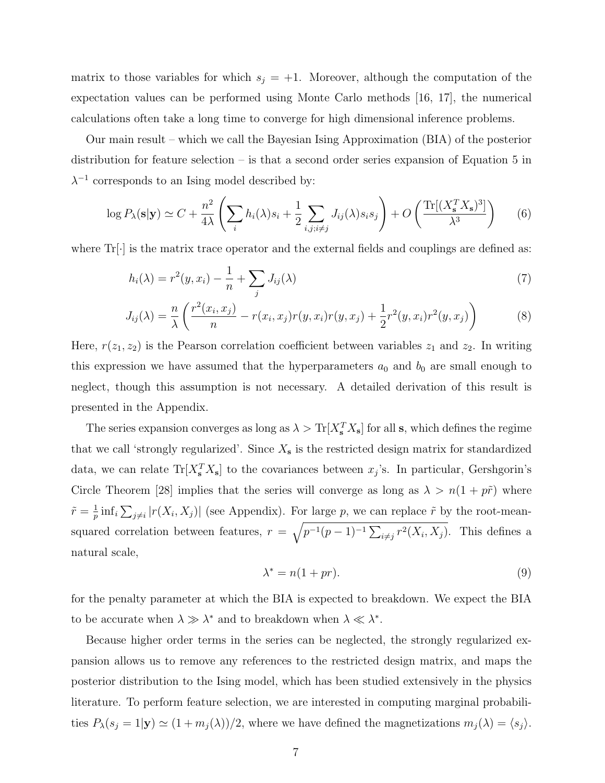matrix to those variables for which  $s_j = +1$ . Moreover, although the computation of the expectation values can be performed using Monte Carlo methods [16, 17], the numerical calculations often take a long time to converge for high dimensional inference problems.

Our main result – which we call the Bayesian Ising Approximation (BIA) of the posterior distribution for feature selection – is that a second order series expansion of Equation 5 in  $\lambda^{-1}$  corresponds to an Ising model described by:

$$
\log P_{\lambda}(\mathbf{s}|\mathbf{y}) \simeq C + \frac{n^2}{4\lambda} \left( \sum_i h_i(\lambda) s_i + \frac{1}{2} \sum_{i,j; i \neq j} J_{ij}(\lambda) s_i s_j \right) + O\left( \frac{\text{Tr}[(X_s^T X_s)^3]}{\lambda^3} \right) \tag{6}
$$

where  $\text{Tr}[\cdot]$  is the matrix trace operator and the external fields and couplings are defined as:

$$
h_i(\lambda) = r^2(y, x_i) - \frac{1}{n} + \sum_j J_{ij}(\lambda)
$$
\n<sup>(7)</sup>

$$
J_{ij}(\lambda) = \frac{n}{\lambda} \left( \frac{r^2(x_i, x_j)}{n} - r(x_i, x_j) r(y, x_i) r(y, x_j) + \frac{1}{2} r^2(y, x_i) r^2(y, x_j) \right)
$$
(8)

Here,  $r(z_1, z_2)$  is the Pearson correlation coefficient between variables  $z_1$  and  $z_2$ . In writing this expression we have assumed that the hyperparameters  $a_0$  and  $b_0$  are small enough to neglect, though this assumption is not necessary. A detailed derivation of this result is presented in the Appendix.

The series expansion converges as long as  $\lambda > \text{Tr}[X_s^T X_s]$  for all s, which defines the regime that we call 'strongly regularized'. Since  $X_{s}$  is the restricted design matrix for standardized data, we can relate  $\text{Tr}[X_s^T X_s]$  to the covariances between  $x_j$ 's. In particular, Gershgorin's Circle Theorem [28] implies that the series will converge as long as  $\lambda > n(1 + p\tilde{r})$  where  $\tilde{r} = \frac{1}{n}$  $\frac{1}{p}$  inf<sub>i</sub>  $\sum_{j\neq i}|r(X_i,X_j)|$  (see Appendix). For large p, we can replace  $\tilde{r}$  by the root-meansquared correlation between features,  $r = \sqrt{p^{-1}(p-1)^{-1} \sum_{i \neq j} r^2(X_i, X_j)}$ . This defines a natural scale,

$$
\lambda^* = n(1+pr). \tag{9}
$$

for the penalty parameter at which the BIA is expected to breakdown. We expect the BIA to be accurate when  $\lambda \gg \lambda^*$  and to breakdown when  $\lambda \ll \lambda^*$ .

Because higher order terms in the series can be neglected, the strongly regularized expansion allows us to remove any references to the restricted design matrix, and maps the posterior distribution to the Ising model, which has been studied extensively in the physics literature. To perform feature selection, we are interested in computing marginal probabilities  $P_{\lambda}(s_j = 1 | \mathbf{y}) \simeq (1 + m_j(\lambda))/2$ , where we have defined the magnetizations  $m_j(\lambda) = \langle s_j \rangle$ .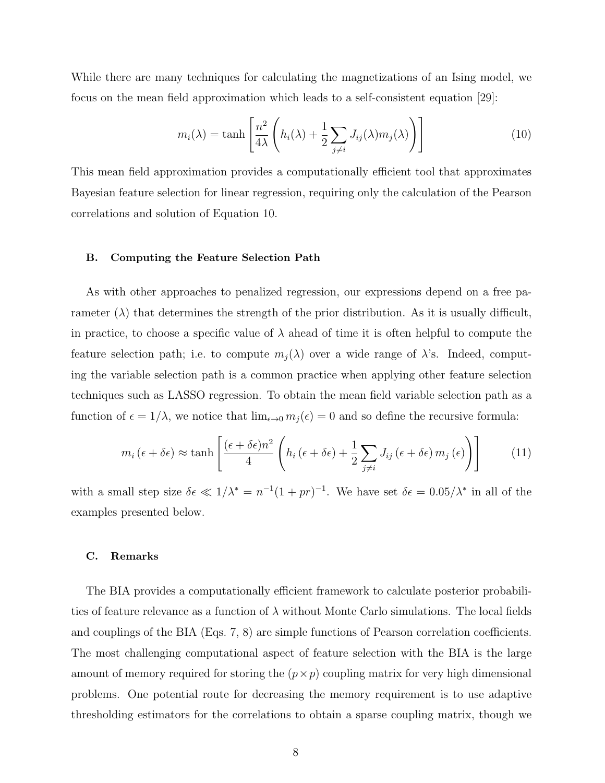While there are many techniques for calculating the magnetizations of an Ising model, we focus on the mean field approximation which leads to a self-consistent equation [29]:

$$
m_i(\lambda) = \tanh\left[\frac{n^2}{4\lambda}\left(h_i(\lambda) + \frac{1}{2}\sum_{j\neq i}J_{ij}(\lambda)m_j(\lambda)\right)\right]
$$
(10)

This mean field approximation provides a computationally efficient tool that approximates Bayesian feature selection for linear regression, requiring only the calculation of the Pearson correlations and solution of Equation 10.

#### B. Computing the Feature Selection Path

As with other approaches to penalized regression, our expressions depend on a free parameter  $(\lambda)$  that determines the strength of the prior distribution. As it is usually difficult, in practice, to choose a specific value of  $\lambda$  ahead of time it is often helpful to compute the feature selection path; i.e. to compute  $m_i(\lambda)$  over a wide range of  $\lambda$ 's. Indeed, computing the variable selection path is a common practice when applying other feature selection techniques such as LASSO regression. To obtain the mean field variable selection path as a function of  $\epsilon = 1/\lambda$ , we notice that  $\lim_{\epsilon \to 0} m_j(\epsilon) = 0$  and so define the recursive formula:

$$
m_i\left(\epsilon + \delta\epsilon\right) \approx \tanh\left[\frac{\left(\epsilon + \delta\epsilon\right)n^2}{4}\left(h_i\left(\epsilon + \delta\epsilon\right) + \frac{1}{2}\sum_{j \neq i} J_{ij}\left(\epsilon + \delta\epsilon\right)m_j\left(\epsilon\right)\right)\right]
$$
(11)

with a small step size  $\delta \epsilon \ll 1/\lambda^* = n^{-1}(1+pr)^{-1}$ . We have set  $\delta \epsilon = 0.05/\lambda^*$  in all of the examples presented below.

#### C. Remarks

The BIA provides a computationally efficient framework to calculate posterior probabilities of feature relevance as a function of  $\lambda$  without Monte Carlo simulations. The local fields and couplings of the BIA (Eqs. 7, 8) are simple functions of Pearson correlation coefficients. The most challenging computational aspect of feature selection with the BIA is the large amount of memory required for storing the  $(p \times p)$  coupling matrix for very high dimensional problems. One potential route for decreasing the memory requirement is to use adaptive thresholding estimators for the correlations to obtain a sparse coupling matrix, though we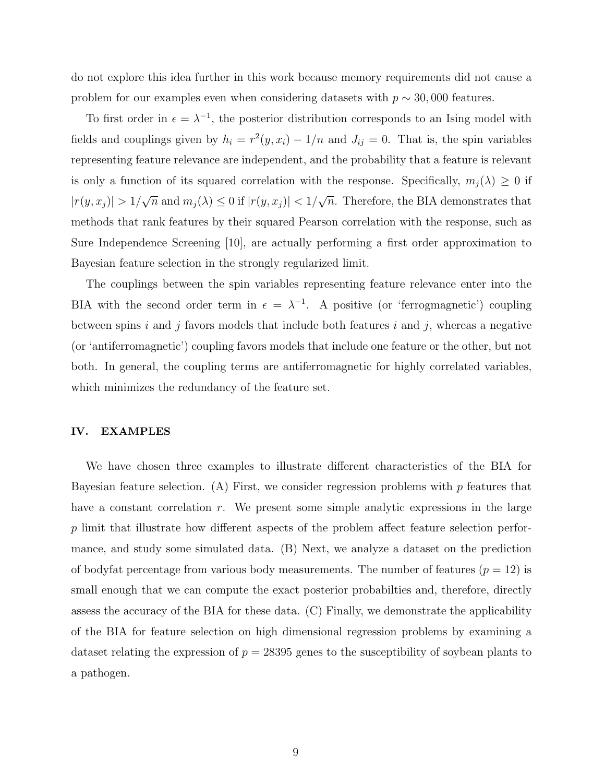do not explore this idea further in this work because memory requirements did not cause a problem for our examples even when considering datasets with  $p \sim 30,000$  features.

To first order in  $\epsilon = \lambda^{-1}$ , the posterior distribution corresponds to an Ising model with fields and couplings given by  $h_i = r^2(y, x_i) - 1/n$  and  $J_{ij} = 0$ . That is, the spin variables representing feature relevance are independent, and the probability that a feature is relevant is only a function of its squared correlation with the response. Specifically,  $m_i(\lambda) \geq 0$  if  $|r(y, x_j)| > 1/$ √  $\overline{n}$  and  $m_j(\lambda) \leq 0$  if  $|r(y, x_j)| < 1/$ √  $\overline{n}$ . Therefore, the BIA demonstrates that methods that rank features by their squared Pearson correlation with the response, such as Sure Independence Screening [10], are actually performing a first order approximation to Bayesian feature selection in the strongly regularized limit.

The couplings between the spin variables representing feature relevance enter into the BIA with the second order term in  $\epsilon = \lambda^{-1}$ . A positive (or 'ferrogmagnetic') coupling between spins  $i$  and  $j$  favors models that include both features  $i$  and  $j$ , whereas a negative (or 'antiferromagnetic') coupling favors models that include one feature or the other, but not both. In general, the coupling terms are antiferromagnetic for highly correlated variables, which minimizes the redundancy of the feature set.

# IV. EXAMPLES

We have chosen three examples to illustrate different characteristics of the BIA for Bayesian feature selection. (A) First, we consider regression problems with  $p$  features that have a constant correlation  $r$ . We present some simple analytic expressions in the large p limit that illustrate how different aspects of the problem affect feature selection performance, and study some simulated data. (B) Next, we analyze a dataset on the prediction of bodyfat percentage from various body measurements. The number of features  $(p = 12)$  is small enough that we can compute the exact posterior probabilties and, therefore, directly assess the accuracy of the BIA for these data. (C) Finally, we demonstrate the applicability of the BIA for feature selection on high dimensional regression problems by examining a dataset relating the expression of  $p = 28395$  genes to the susceptibility of soybean plants to a pathogen.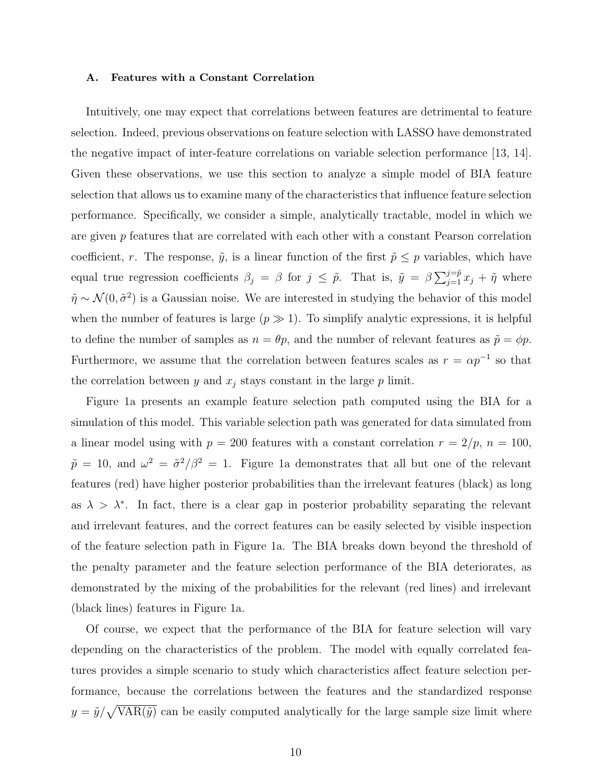#### A. Features with a Constant Correlation

Intuitively, one may expect that correlations between features are detrimental to feature selection. Indeed, previous observations on feature selection with LASSO have demonstrated the negative impact of inter-feature correlations on variable selection performance [13, 14]. Given these observations, we use this section to analyze a simple model of BIA feature selection that allows us to examine many of the characteristics that influence feature selection performance. Specifically, we consider a simple, analytically tractable, model in which we are given  $p$  features that are correlated with each other with a constant Pearson correlation coefficient, r. The response,  $\tilde{y}$ , is a linear function of the first  $\tilde{p} \leq p$  variables, which have equal true regression coefficients  $\beta_j = \beta$  for  $j \leq \tilde{p}$ . That is,  $\tilde{y} = \beta \sum_{j=1}^{j=\tilde{p}} x_j + \tilde{\eta}$  where  $\tilde{\eta} \sim \mathcal{N}(0, \tilde{\sigma}^2)$  is a Gaussian noise. We are interested in studying the behavior of this model when the number of features is large  $(p \gg 1)$ . To simplify analytic expressions, it is helpful to define the number of samples as  $n = \theta p$ , and the number of relevant features as  $\tilde{p} = \phi p$ . Furthermore, we assume that the correlation between features scales as  $r = \alpha p^{-1}$  so that the correlation between y and  $x_j$  stays constant in the large p limit.

Figure 1a presents an example feature selection path computed using the BIA for a simulation of this model. This variable selection path was generated for data simulated from a linear model using with  $p = 200$  features with a constant correlation  $r = 2/p$ ,  $n = 100$ ,  $\tilde{p} = 10$ , and  $\omega^2 = \tilde{\sigma}^2/\beta^2 = 1$ . Figure 1a demonstrates that all but one of the relevant features (red) have higher posterior probabilities than the irrelevant features (black) as long as  $\lambda > \lambda^*$ . In fact, there is a clear gap in posterior probability separating the relevant and irrelevant features, and the correct features can be easily selected by visible inspection of the feature selection path in Figure 1a. The BIA breaks down beyond the threshold of the penalty parameter and the feature selection performance of the BIA deteriorates, as demonstrated by the mixing of the probabilities for the relevant (red lines) and irrelevant (black lines) features in Figure 1a.

Of course, we expect that the performance of the BIA for feature selection will vary depending on the characteristics of the problem. The model with equally correlated features provides a simple scenario to study which characteristics affect feature selection performance, because the correlations between the features and the standardized response  $y = \tilde{y}/\sqrt{VAR(\tilde{y})}$  can be easily computed analytically for the large sample size limit where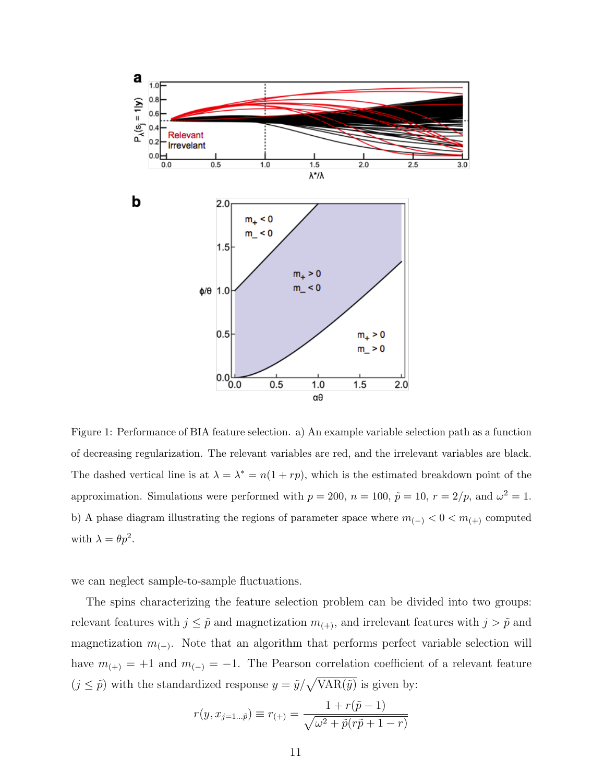

Figure 1: Performance of BIA feature selection. a) An example variable selection path as a function of decreasing regularization. The relevant variables are red, and the irrelevant variables are black. The dashed vertical line is at  $\lambda = \lambda^* = n(1 + rp)$ , which is the estimated breakdown point of the approximation. Simulations were performed with  $p = 200$ ,  $n = 100$ ,  $\tilde{p} = 10$ ,  $r = 2/p$ , and  $\omega^2 = 1$ . b) A phase diagram illustrating the regions of parameter space where  $m_{(-)} < 0 < m_{(+)}$  computed with  $\lambda = \theta p^2$ .

we can neglect sample-to-sample fluctuations.

The spins characterizing the feature selection problem can be divided into two groups: relevant features with  $j \leq \tilde{p}$  and magnetization  $m_{(+)}$ , and irrelevant features with  $j > \tilde{p}$  and magnetization  $m_{(-)}$ . Note that an algorithm that performs perfect variable selection will have  $m_{(+)} = +1$  and  $m_{(-)} = -1$ . The Pearson correlation coefficient of a relevant feature  $(j \leq \tilde{p})$  with the standardized response  $y = \tilde{y}/\sqrt{\text{VAR}(\tilde{y})}$  is given by:

$$
r(y, x_{j=1... \tilde{p}}) \equiv r_{(+)} = \frac{1 + r(\tilde{p} - 1)}{\sqrt{\omega^2 + \tilde{p}(r\tilde{p} + 1 - r)}}
$$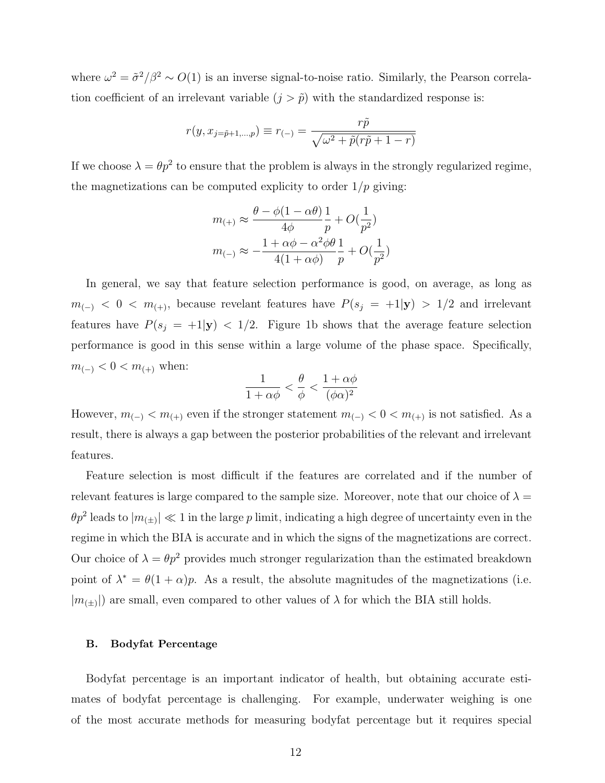where  $\omega^2 = \tilde{\sigma}^2/\beta^2 \sim O(1)$  is an inverse signal-to-noise ratio. Similarly, the Pearson correlation coefficient of an irrelevant variable  $(j > \tilde{p})$  with the standardized response is:

$$
r(y, x_{j=\tilde{p}+1,\dots,p}) \equiv r_{(-)} = \frac{r\tilde{p}}{\sqrt{\omega^2 + \tilde{p}(r\tilde{p} + 1 - r)}}
$$

If we choose  $\lambda = \theta p^2$  to ensure that the problem is always in the strongly regularized regime, the magnetizations can be computed explicity to order  $1/p$  giving:

$$
m_{(+)} \approx \frac{\theta - \phi(1 - \alpha\theta)}{4\phi} \frac{1}{p} + O(\frac{1}{p^2})
$$

$$
m_{(-)} \approx -\frac{1 + \alpha\phi - \alpha^2\phi\theta}{4(1 + \alpha\phi)} \frac{1}{p} + O(\frac{1}{p^2})
$$

In general, we say that feature selection performance is good, on average, as long as  $m_{(-)} < 0 < m_{(+)}$ , because revelant features have  $P(s_j = +1|\mathbf{y}) > 1/2$  and irrelevant features have  $P(s_j = +1|\mathbf{y}) < 1/2$ . Figure 1b shows that the average feature selection performance is good in this sense within a large volume of the phase space. Specifically,  $m_{(-)} < 0 < m_{(+)}$  when:

$$
\frac{1}{1+\alpha\phi} < \frac{\theta}{\phi} < \frac{1+\alpha\phi}{(\phi\alpha)^2}
$$

However,  $m_{(-)} < m_{(+)}$  even if the stronger statement  $m_{(-)} < 0 < m_{(+)}$  is not satisfied. As a result, there is always a gap between the posterior probabilities of the relevant and irrelevant features.

Feature selection is most difficult if the features are correlated and if the number of relevant features is large compared to the sample size. Moreover, note that our choice of  $\lambda =$  $\ell^2 p^2$  leads to  $|m_{(\pm)}| \ll 1$  in the large p limit, indicating a high degree of uncertainty even in the regime in which the BIA is accurate and in which the signs of the magnetizations are correct. Our choice of  $\lambda = \theta p^2$  provides much stronger regularization than the estimated breakdown point of  $\lambda^* = \theta(1+\alpha)p$ . As a result, the absolute magnitudes of the magnetizations (i.e.  $|m_{(\pm)}|$  are small, even compared to other values of  $\lambda$  for which the BIA still holds.

#### B. Bodyfat Percentage

Bodyfat percentage is an important indicator of health, but obtaining accurate estimates of bodyfat percentage is challenging. For example, underwater weighing is one of the most accurate methods for measuring bodyfat percentage but it requires special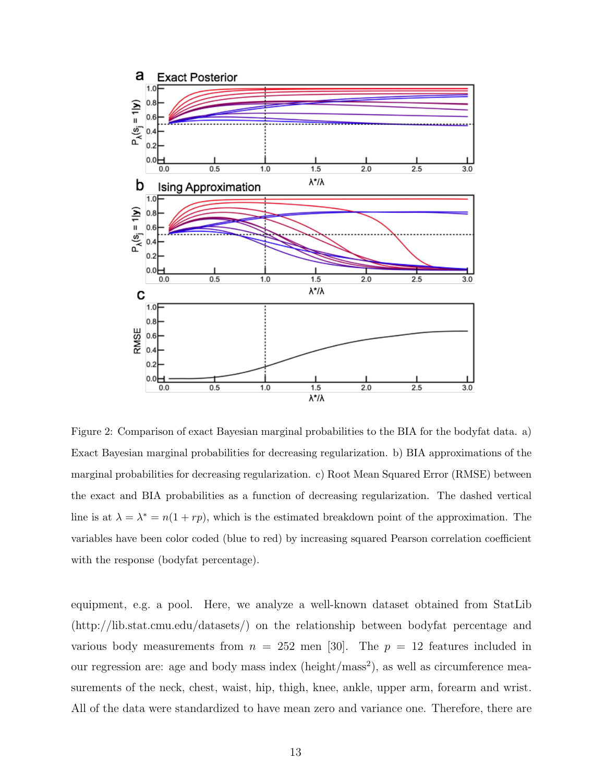

Figure 2: Comparison of exact Bayesian marginal probabilities to the BIA for the bodyfat data. a) Exact Bayesian marginal probabilities for decreasing regularization. b) BIA approximations of the marginal probabilities for decreasing regularization. c) Root Mean Squared Error (RMSE) between the exact and BIA probabilities as a function of decreasing regularization. The dashed vertical line is at  $\lambda = \lambda^* = n(1 + rp)$ , which is the estimated breakdown point of the approximation. The variables have been color coded (blue to red) by increasing squared Pearson correlation coefficient with the response (bodyfat percentage).

equipment, e.g. a pool. Here, we analyze a well-known dataset obtained from StatLib (http://lib.stat.cmu.edu/datasets/) on the relationship between bodyfat percentage and various body measurements from  $n = 252$  men [30]. The  $p = 12$  features included in our regression are: age and body mass index (height/mass<sup>2</sup>), as well as circumference measurements of the neck, chest, waist, hip, thigh, knee, ankle, upper arm, forearm and wrist. All of the data were standardized to have mean zero and variance one. Therefore, there are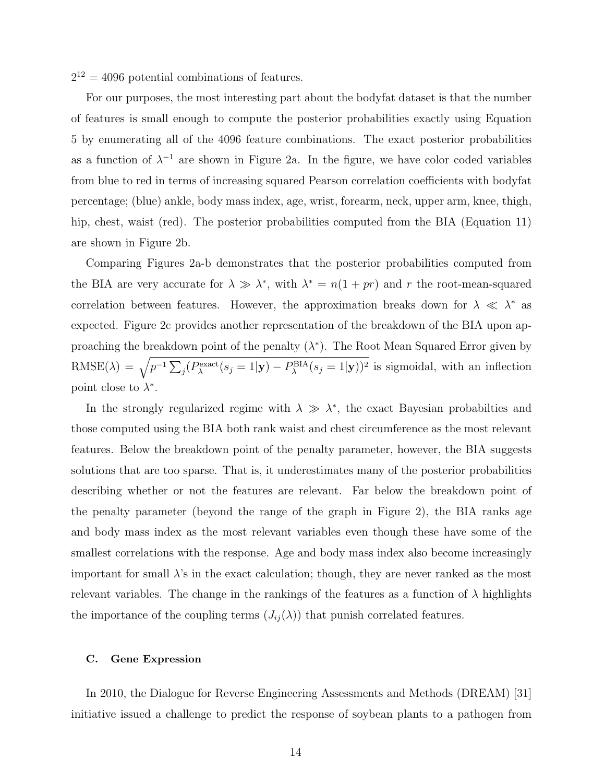$2^{12} = 4096$  potential combinations of features.

For our purposes, the most interesting part about the bodyfat dataset is that the number of features is small enough to compute the posterior probabilities exactly using Equation 5 by enumerating all of the 4096 feature combinations. The exact posterior probabilities as a function of  $\lambda^{-1}$  are shown in Figure 2a. In the figure, we have color coded variables from blue to red in terms of increasing squared Pearson correlation coefficients with bodyfat percentage; (blue) ankle, body mass index, age, wrist, forearm, neck, upper arm, knee, thigh, hip, chest, waist (red). The posterior probabilities computed from the BIA (Equation 11) are shown in Figure 2b.

Comparing Figures 2a-b demonstrates that the posterior probabilities computed from the BIA are very accurate for  $\lambda \gg \lambda^*$ , with  $\lambda^* = n(1 + pr)$  and r the root-mean-squared correlation between features. However, the approximation breaks down for  $\lambda \ll \lambda^*$  as expected. Figure 2c provides another representation of the breakdown of the BIA upon approaching the breakdown point of the penalty  $(\lambda^*)$ . The Root Mean Squared Error given by RMSE( $\lambda$ ) =  $\sqrt{p^{-1} \sum_j (P_\lambda^{\text{exact}}(s_j=1|\mathbf{y}) - P_\lambda^{\text{BIA}}(s_j=1|\mathbf{y}))^2}$  is sigmoidal, with an inflection point close to  $\lambda^*$ .

In the strongly regularized regime with  $\lambda \gg \lambda^*$ , the exact Bayesian probabilties and those computed using the BIA both rank waist and chest circumference as the most relevant features. Below the breakdown point of the penalty parameter, however, the BIA suggests solutions that are too sparse. That is, it underestimates many of the posterior probabilities describing whether or not the features are relevant. Far below the breakdown point of the penalty parameter (beyond the range of the graph in Figure 2), the BIA ranks age and body mass index as the most relevant variables even though these have some of the smallest correlations with the response. Age and body mass index also become increasingly important for small  $\lambda$ 's in the exact calculation; though, they are never ranked as the most relevant variables. The change in the rankings of the features as a function of  $\lambda$  highlights the importance of the coupling terms  $(J_{ij}(\lambda))$  that punish correlated features.

# C. Gene Expression

In 2010, the Dialogue for Reverse Engineering Assessments and Methods (DREAM) [31] initiative issued a challenge to predict the response of soybean plants to a pathogen from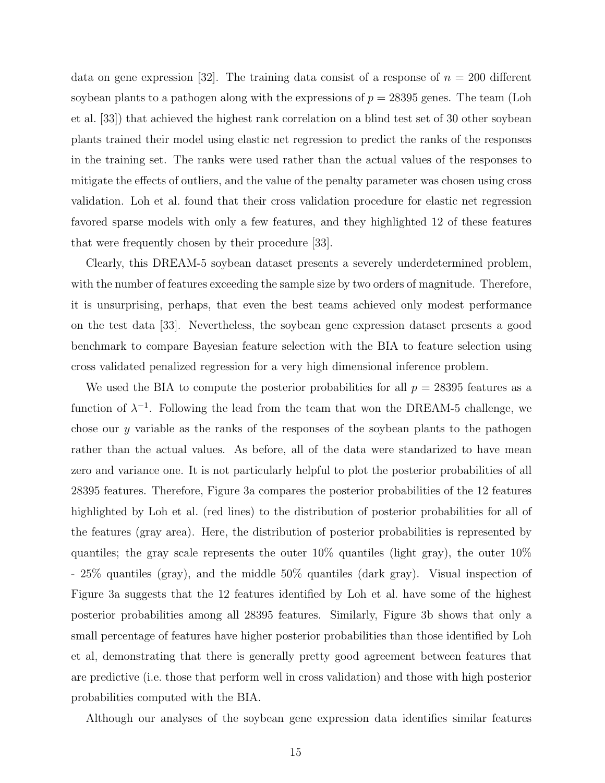data on gene expression [32]. The training data consist of a response of  $n = 200$  different soybean plants to a pathogen along with the expressions of  $p = 28395$  genes. The team (Loh et al. [33]) that achieved the highest rank correlation on a blind test set of 30 other soybean plants trained their model using elastic net regression to predict the ranks of the responses in the training set. The ranks were used rather than the actual values of the responses to mitigate the effects of outliers, and the value of the penalty parameter was chosen using cross validation. Loh et al. found that their cross validation procedure for elastic net regression favored sparse models with only a few features, and they highlighted 12 of these features that were frequently chosen by their procedure [33].

Clearly, this DREAM-5 soybean dataset presents a severely underdetermined problem, with the number of features exceeding the sample size by two orders of magnitude. Therefore, it is unsurprising, perhaps, that even the best teams achieved only modest performance on the test data [33]. Nevertheless, the soybean gene expression dataset presents a good benchmark to compare Bayesian feature selection with the BIA to feature selection using cross validated penalized regression for a very high dimensional inference problem.

We used the BIA to compute the posterior probabilities for all  $p = 28395$  features as a function of  $\lambda^{-1}$ . Following the lead from the team that won the DREAM-5 challenge, we chose our  $y$  variable as the ranks of the responses of the soybean plants to the pathogen rather than the actual values. As before, all of the data were standarized to have mean zero and variance one. It is not particularly helpful to plot the posterior probabilities of all 28395 features. Therefore, Figure 3a compares the posterior probabilities of the 12 features highlighted by Loh et al. (red lines) to the distribution of posterior probabilities for all of the features (gray area). Here, the distribution of posterior probabilities is represented by quantiles; the gray scale represents the outer  $10\%$  quantiles (light gray), the outer  $10\%$ - 25% quantiles (gray), and the middle 50% quantiles (dark gray). Visual inspection of Figure 3a suggests that the 12 features identified by Loh et al. have some of the highest posterior probabilities among all 28395 features. Similarly, Figure 3b shows that only a small percentage of features have higher posterior probabilities than those identified by Loh et al, demonstrating that there is generally pretty good agreement between features that are predictive (i.e. those that perform well in cross validation) and those with high posterior probabilities computed with the BIA.

Although our analyses of the soybean gene expression data identifies similar features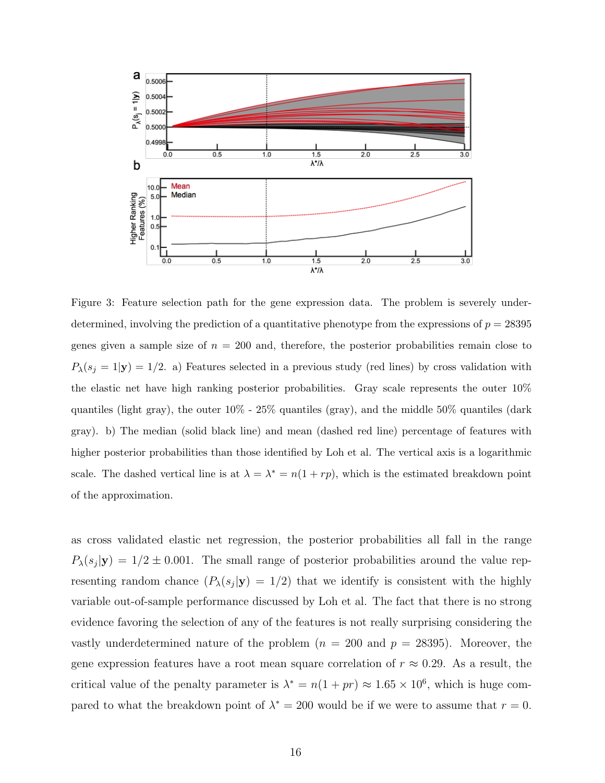

Figure 3: Feature selection path for the gene expression data. The problem is severely underdetermined, involving the prediction of a quantitative phenotype from the expressions of  $p = 28395$ genes given a sample size of  $n = 200$  and, therefore, the posterior probabilities remain close to  $P_{\lambda}(s_j = 1|\mathbf{y}) = 1/2$ . a) Features selected in a previous study (red lines) by cross validation with the elastic net have high ranking posterior probabilities. Gray scale represents the outer 10% quantiles (light gray), the outer 10% - 25% quantiles (gray), and the middle 50% quantiles (dark gray). b) The median (solid black line) and mean (dashed red line) percentage of features with higher posterior probabilities than those identified by Loh et al. The vertical axis is a logarithmic scale. The dashed vertical line is at  $\lambda = \lambda^* = n(1 + rp)$ , which is the estimated breakdown point of the approximation.

as cross validated elastic net regression, the posterior probabilities all fall in the range  $P_{\lambda}(s_j|\mathbf{y}) = 1/2 \pm 0.001$ . The small range of posterior probabilities around the value representing random chance  $(P_{\lambda}(s_j|\mathbf{y}) = 1/2)$  that we identify is consistent with the highly variable out-of-sample performance discussed by Loh et al. The fact that there is no strong evidence favoring the selection of any of the features is not really surprising considering the vastly underdetermined nature of the problem  $(n = 200 \text{ and } p = 28395)$ . Moreover, the gene expression features have a root mean square correlation of  $r \approx 0.29$ . As a result, the critical value of the penalty parameter is  $\lambda^* = n(1 + pr) \approx 1.65 \times 10^6$ , which is huge compared to what the breakdown point of  $\lambda^* = 200$  would be if we were to assume that  $r = 0$ .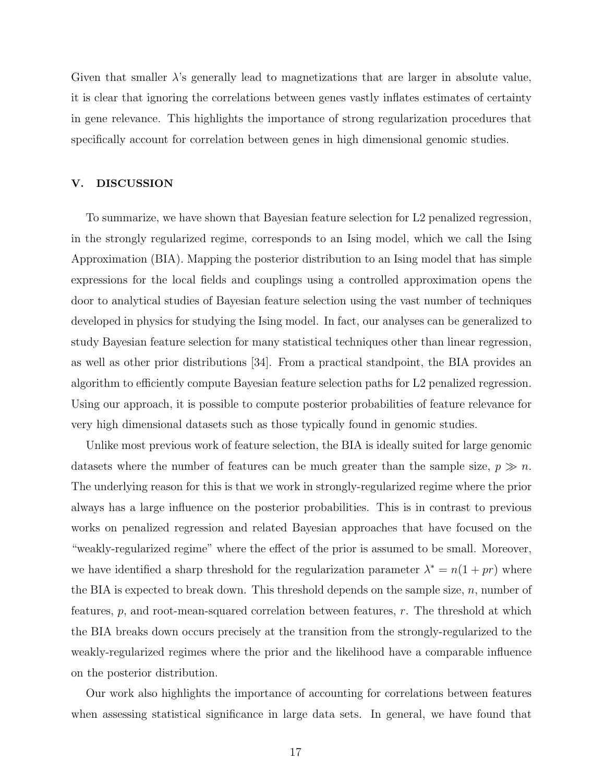Given that smaller  $\lambda$ 's generally lead to magnetizations that are larger in absolute value, it is clear that ignoring the correlations between genes vastly inflates estimates of certainty in gene relevance. This highlights the importance of strong regularization procedures that specifically account for correlation between genes in high dimensional genomic studies.

# V. DISCUSSION

To summarize, we have shown that Bayesian feature selection for L2 penalized regression, in the strongly regularized regime, corresponds to an Ising model, which we call the Ising Approximation (BIA). Mapping the posterior distribution to an Ising model that has simple expressions for the local fields and couplings using a controlled approximation opens the door to analytical studies of Bayesian feature selection using the vast number of techniques developed in physics for studying the Ising model. In fact, our analyses can be generalized to study Bayesian feature selection for many statistical techniques other than linear regression, as well as other prior distributions [34]. From a practical standpoint, the BIA provides an algorithm to efficiently compute Bayesian feature selection paths for L2 penalized regression. Using our approach, it is possible to compute posterior probabilities of feature relevance for very high dimensional datasets such as those typically found in genomic studies.

Unlike most previous work of feature selection, the BIA is ideally suited for large genomic datasets where the number of features can be much greater than the sample size,  $p \gg n$ . The underlying reason for this is that we work in strongly-regularized regime where the prior always has a large influence on the posterior probabilities. This is in contrast to previous works on penalized regression and related Bayesian approaches that have focused on the "weakly-regularized regime" where the effect of the prior is assumed to be small. Moreover, we have identified a sharp threshold for the regularization parameter  $\lambda^* = n(1 + pr)$  where the BIA is expected to break down. This threshold depends on the sample size,  $n$ , number of features,  $p$ , and root-mean-squared correlation between features,  $r$ . The threshold at which the BIA breaks down occurs precisely at the transition from the strongly-regularized to the weakly-regularized regimes where the prior and the likelihood have a comparable influence on the posterior distribution.

Our work also highlights the importance of accounting for correlations between features when assessing statistical significance in large data sets. In general, we have found that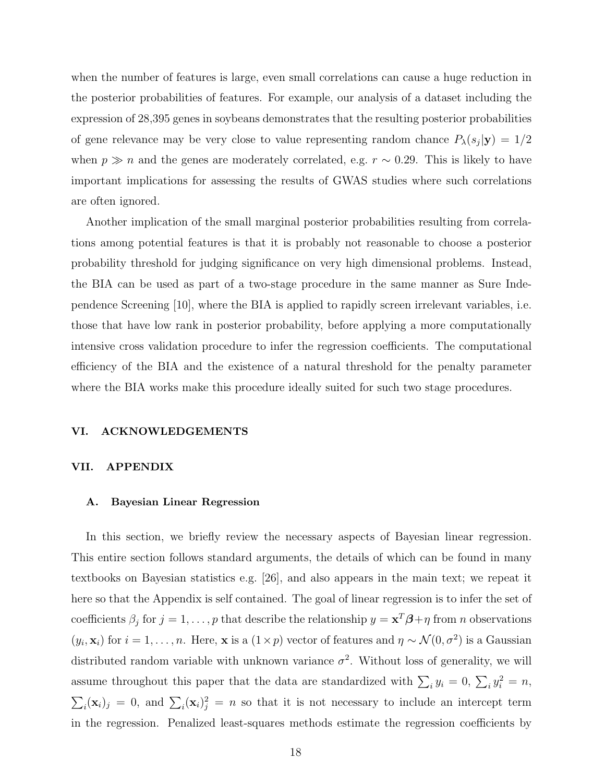when the number of features is large, even small correlations can cause a huge reduction in the posterior probabilities of features. For example, our analysis of a dataset including the expression of 28,395 genes in soybeans demonstrates that the resulting posterior probabilities of gene relevance may be very close to value representing random chance  $P_{\lambda}(s_j|\mathbf{y}) = 1/2$ when  $p \gg n$  and the genes are moderately correlated, e.g.  $r \sim 0.29$ . This is likely to have important implications for assessing the results of GWAS studies where such correlations are often ignored.

Another implication of the small marginal posterior probabilities resulting from correlations among potential features is that it is probably not reasonable to choose a posterior probability threshold for judging significance on very high dimensional problems. Instead, the BIA can be used as part of a two-stage procedure in the same manner as Sure Independence Screening [10], where the BIA is applied to rapidly screen irrelevant variables, i.e. those that have low rank in posterior probability, before applying a more computationally intensive cross validation procedure to infer the regression coefficients. The computational efficiency of the BIA and the existence of a natural threshold for the penalty parameter where the BIA works make this procedure ideally suited for such two stage procedures.

#### VI. ACKNOWLEDGEMENTS

#### VII. APPENDIX

#### A. Bayesian Linear Regression

In this section, we briefly review the necessary aspects of Bayesian linear regression. This entire section follows standard arguments, the details of which can be found in many textbooks on Bayesian statistics e.g. [26], and also appears in the main text; we repeat it here so that the Appendix is self contained. The goal of linear regression is to infer the set of coefficients  $\beta_j$  for  $j = 1, \ldots, p$  that describe the relationship  $y = x^T \beta + \eta$  from *n* observations  $(y_i, \mathbf{x}_i)$  for  $i = 1, \ldots, n$ . Here, **x** is a  $(1 \times p)$  vector of features and  $\eta \sim \mathcal{N}(0, \sigma^2)$  is a Gaussian distributed random variable with unknown variance  $\sigma^2$ . Without loss of generality, we will assume throughout this paper that the data are standardized with  $\sum_i y_i = 0$ ,  $\sum_i y_i^2 = n$ ,  $\sum_i (\mathbf{x}_i)_j = 0$ , and  $\sum_i (\mathbf{x}_i)_j^2 = n$  so that it is not necessary to include an intercept term in the regression. Penalized least-squares methods estimate the regression coefficients by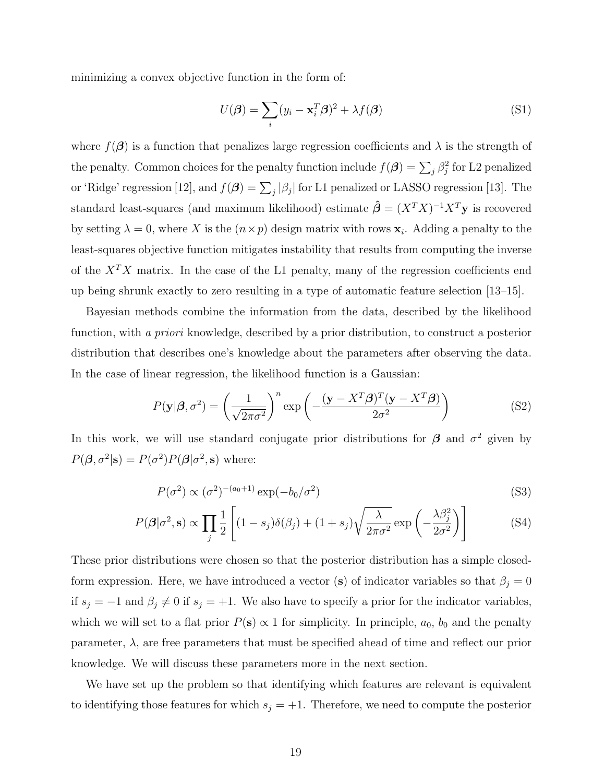minimizing a convex objective function in the form of:

$$
U(\boldsymbol{\beta}) = \sum_{i} (y_i - \mathbf{x}_i^T \boldsymbol{\beta})^2 + \lambda f(\boldsymbol{\beta})
$$
 (S1)

where  $f(\boldsymbol{\beta})$  is a function that penalizes large regression coefficients and  $\lambda$  is the strength of the penalty. Common choices for the penalty function include  $f(\boldsymbol{\beta}) = \sum_j \beta_j^2$  for L2 penalized or 'Ridge' regression [12], and  $f(\beta) = \sum_j |\beta_j|$  for L1 penalized or LASSO regression [13]. The standard least-squares (and maximum likelihood) estimate  $\hat{\beta} = (X^T X)^{-1} X^T \mathbf{y}$  is recovered by setting  $\lambda = 0$ , where X is the  $(n \times p)$  design matrix with rows  $\mathbf{x}_i$ . Adding a penalty to the least-squares objective function mitigates instability that results from computing the inverse of the  $X^T X$  matrix. In the case of the L1 penalty, many of the regression coefficients end up being shrunk exactly to zero resulting in a type of automatic feature selection [13–15].

Bayesian methods combine the information from the data, described by the likelihood function, with a priori knowledge, described by a prior distribution, to construct a posterior distribution that describes one's knowledge about the parameters after observing the data. In the case of linear regression, the likelihood function is a Gaussian:

$$
P(\mathbf{y}|\boldsymbol{\beta}, \sigma^2) = \left(\frac{1}{\sqrt{2\pi\sigma^2}}\right)^n \exp\left(-\frac{(\mathbf{y} - X^T\boldsymbol{\beta})^T(\mathbf{y} - X^T\boldsymbol{\beta})}{2\sigma^2}\right)
$$
(S2)

In this work, we will use standard conjugate prior distributions for  $\beta$  and  $\sigma^2$  given by  $P(\boldsymbol{\beta}, \sigma^2 | \mathbf{s}) = P(\sigma^2) P(\boldsymbol{\beta} | \sigma^2, \mathbf{s})$  where:

$$
P(\sigma^2) \propto (\sigma^2)^{-(a_0+1)} \exp(-b_0/\sigma^2)
$$
\n(S3)

$$
P(\boldsymbol{\beta}|\sigma^2, \mathbf{s}) \propto \prod_j \frac{1}{2} \left[ (1 - s_j) \delta(\beta_j) + (1 + s_j) \sqrt{\frac{\lambda}{2\pi\sigma^2}} \exp\left(-\frac{\lambda \beta_j^2}{2\sigma^2}\right) \right]
$$
(S4)

These prior distributions were chosen so that the posterior distribution has a simple closedform expression. Here, we have introduced a vector (s) of indicator variables so that  $\beta_j = 0$ if  $s_j = -1$  and  $\beta_j \neq 0$  if  $s_j = +1$ . We also have to specify a prior for the indicator variables, which we will set to a flat prior  $P(s) \propto 1$  for simplicity. In principle,  $a_0$ ,  $b_0$  and the penalty parameter,  $\lambda$ , are free parameters that must be specified ahead of time and reflect our prior knowledge. We will discuss these parameters more in the next section.

We have set up the problem so that identifying which features are relevant is equivalent to identifying those features for which  $s_j = +1$ . Therefore, we need to compute the posterior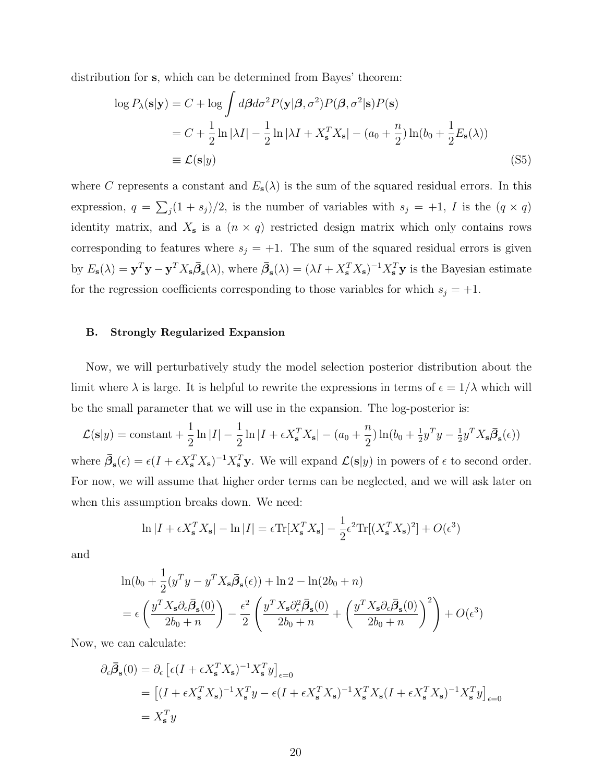distribution for s, which can be determined from Bayes' theorem:

$$
\log P_{\lambda}(\mathbf{s}|\mathbf{y}) = C + \log \int d\beta d\sigma^2 P(\mathbf{y}|\beta, \sigma^2) P(\beta, \sigma^2|\mathbf{s}) P(\mathbf{s})
$$
  
=  $C + \frac{1}{2} \ln |\lambda I| - \frac{1}{2} \ln |\lambda I + X_{\mathbf{s}}^T X_{\mathbf{s}}| - (a_0 + \frac{n}{2}) \ln(b_0 + \frac{1}{2} E_{\mathbf{s}}(\lambda))$   
\equiv  $\mathcal{L}(\mathbf{s}|y)$  (S5)

where C represents a constant and  $E_{s}(\lambda)$  is the sum of the squared residual errors. In this expression,  $q = \sum_j (1 + s_j)/2$ , is the number of variables with  $s_j = +1$ , I is the  $(q \times q)$ identity matrix, and  $X_s$  is a  $(n \times q)$  restricted design matrix which only contains rows corresponding to features where  $s_j = +1$ . The sum of the squared residual errors is given by  $E_s(\lambda) = \mathbf{y}^T \mathbf{y} - \mathbf{y}^T X_s \overline{\beta}_s(\lambda)$ , where  $\overline{\beta}_s(\lambda) = (\lambda I + X_s^T X_s)^{-1} X_s^T \mathbf{y}$  is the Bayesian estimate for the regression coefficients corresponding to those variables for which  $s_j = +1$ .

# B. Strongly Regularized Expansion

Now, we will perturbatively study the model selection posterior distribution about the limit where  $\lambda$  is large. It is helpful to rewrite the expressions in terms of  $\epsilon = 1/\lambda$  which will be the small parameter that we will use in the expansion. The log-posterior is:

 $\mathcal{L}(\mathbf{s}|y) = \text{constant} + \frac{1}{2}$ 2  $\ln |I| - \frac{1}{2}$ 2  $\ln|I+\epsilon X_{\mathbf{s}}^T X_{\mathbf{s}}|-(a_0+\frac{n}{2})$  $\frac{n}{2}$ )  $\ln(b_0 + \frac{1}{2})$  $\frac{1}{2}y^T y - \frac{1}{2}$  $\frac{1}{2}y^TX_{\mathbf{s}}\bar{\boldsymbol{\beta}}_{\mathbf{s}}(\epsilon))$ where  $\bar{\beta}_{s}(\epsilon) = \epsilon (I + \epsilon X_{s}^{T} X_{s})^{-1} X_{s}^{T} \mathbf{y}$ . We will expand  $\mathcal{L}(\mathbf{s}|y)$  in powers of  $\epsilon$  to second order. For now, we will assume that higher order terms can be neglected, and we will ask later on when this assumption breaks down. We need:

$$
\ln|I + \epsilon X_s^T X_s| - \ln|I| = \epsilon \text{Tr}[X_s^T X_s] - \frac{1}{2} \epsilon^2 \text{Tr}[(X_s^T X_s)^2] + O(\epsilon^3)
$$

and

$$
\ln(b_0 + \frac{1}{2}(y^T y - y^T X_s \overline{\beta}_s(\epsilon)) + \ln 2 - \ln(2b_0 + n)
$$
  
=  $\epsilon \left(\frac{y^T X_s \partial_{\epsilon} \overline{\beta}_s(0)}{2b_0 + n}\right) - \frac{\epsilon^2}{2} \left(\frac{y^T X_s \partial_{\epsilon}^2 \overline{\beta}_s(0)}{2b_0 + n} + \left(\frac{y^T X_s \partial_{\epsilon} \overline{\beta}_s(0)}{2b_0 + n}\right)^2\right) + O(\epsilon^3)$ 

Now, we can calculate:

$$
\partial_{\epsilon}\bar{\beta}_{\mathbf{s}}(0) = \partial_{\epsilon} \left[ \epsilon (I + \epsilon X_{\mathbf{s}}^T X_{\mathbf{s}})^{-1} X_{\mathbf{s}}^T y \right]_{\epsilon=0}
$$
  
= 
$$
\left[ (I + \epsilon X_{\mathbf{s}}^T X_{\mathbf{s}})^{-1} X_{\mathbf{s}}^T y - \epsilon (I + \epsilon X_{\mathbf{s}}^T X_{\mathbf{s}})^{-1} X_{\mathbf{s}}^T X_{\mathbf{s}} (I + \epsilon X_{\mathbf{s}}^T X_{\mathbf{s}})^{-1} X_{\mathbf{s}}^T y \right]_{\epsilon=0}
$$
  
= 
$$
X_{\mathbf{s}}^T y
$$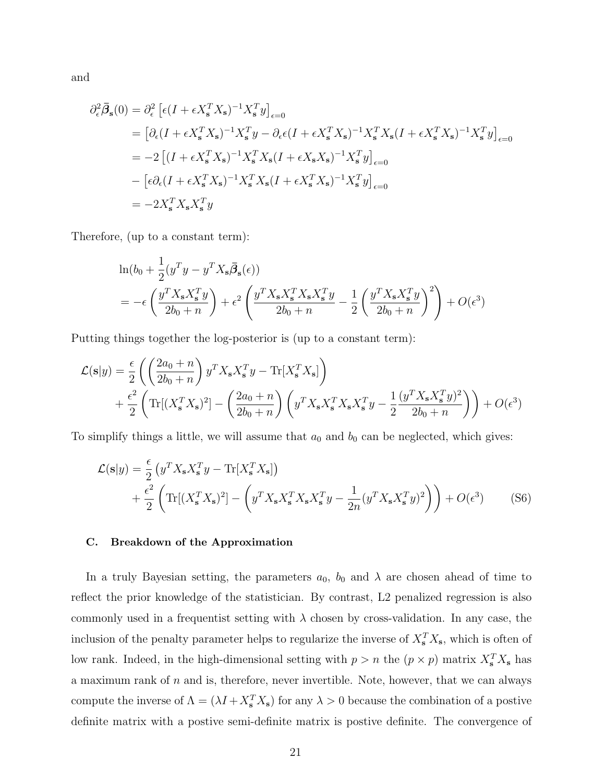and

$$
\partial_{\epsilon}^{2} \bar{\beta}_{s}(0) = \partial_{\epsilon}^{2} \left[ \epsilon (I + \epsilon X_{s}^{T} X_{s})^{-1} X_{s}^{T} y \right]_{\epsilon=0}
$$
\n
$$
= \left[ \partial_{\epsilon} (I + \epsilon X_{s}^{T} X_{s})^{-1} X_{s}^{T} y - \partial_{\epsilon} \epsilon (I + \epsilon X_{s}^{T} X_{s})^{-1} X_{s}^{T} X_{s} (I + \epsilon X_{s}^{T} X_{s})^{-1} X_{s}^{T} y \right]_{\epsilon=0}
$$
\n
$$
= -2 \left[ (I + \epsilon X_{s}^{T} X_{s})^{-1} X_{s}^{T} X_{s} (I + \epsilon X_{s}^{T} X_{s})^{-1} X_{s}^{T} y \right]_{\epsilon=0}
$$
\n
$$
- \left[ \epsilon \partial_{\epsilon} (I + \epsilon X_{s}^{T} X_{s})^{-1} X_{s}^{T} X_{s} (I + \epsilon X_{s}^{T} X_{s})^{-1} X_{s}^{T} y \right]_{\epsilon=0}
$$
\n
$$
= -2 X_{s}^{T} X_{s} X_{s}^{T} y
$$

Therefore, (up to a constant term):

$$
\ln(b_0 + \frac{1}{2}(y^T y - y^T X_s \overline{\beta}_s(\epsilon))
$$
  
= 
$$
-\epsilon \left(\frac{y^T X_s X_s^T y}{2b_0 + n}\right) + \epsilon^2 \left(\frac{y^T X_s X_s^T X_s X_s^T y}{2b_0 + n} - \frac{1}{2} \left(\frac{y^T X_s X_s^T y}{2b_0 + n}\right)^2\right) + O(\epsilon^3)
$$

Putting things together the log-posterior is (up to a constant term):

$$
\mathcal{L}(\mathbf{s}|y) = \frac{\epsilon}{2} \left( \left( \frac{2a_0 + n}{2b_0 + n} \right) y^T X_s X_s^T y - \text{Tr}[X_s^T X_s] \right) \n+ \frac{\epsilon^2}{2} \left( \text{Tr}[(X_s^T X_s)^2] - \left( \frac{2a_0 + n}{2b_0 + n} \right) \left( y^T X_s X_s^T X_s X_s^T y - \frac{1}{2} \frac{(y^T X_s X_s^T y)^2}{2b_0 + n} \right) \right) + O(\epsilon^3)
$$

To simplify things a little, we will assume that  $a_0$  and  $b_0$  can be neglected, which gives:

$$
\mathcal{L}(\mathbf{s}|y) = \frac{\epsilon}{2} \left( y^T X_s X_s^T y - \text{Tr}[X_s^T X_s] \right) \n+ \frac{\epsilon^2}{2} \left( \text{Tr}[(X_s^T X_s)^2] - \left( y^T X_s X_s^T X_s X_s^T y - \frac{1}{2n} (y^T X_s X_s^T y)^2 \right) \right) + O(\epsilon^3)
$$
\n(S6)

#### C. Breakdown of the Approximation

In a truly Bayesian setting, the parameters  $a_0$ ,  $b_0$  and  $\lambda$  are chosen ahead of time to reflect the prior knowledge of the statistician. By contrast, L2 penalized regression is also commonly used in a frequentist setting with  $\lambda$  chosen by cross-validation. In any case, the inclusion of the penalty parameter helps to regularize the inverse of  $X_s^T X_s$ , which is often of low rank. Indeed, in the high-dimensional setting with  $p > n$  the  $(p \times p)$  matrix  $X_s^T X_s$  has a maximum rank of  $n$  and is, therefore, never invertible. Note, however, that we can always compute the inverse of  $\Lambda = (\lambda I + X_s^T X_s)$  for any  $\lambda > 0$  because the combination of a postive definite matrix with a postive semi-definite matrix is postive definite. The convergence of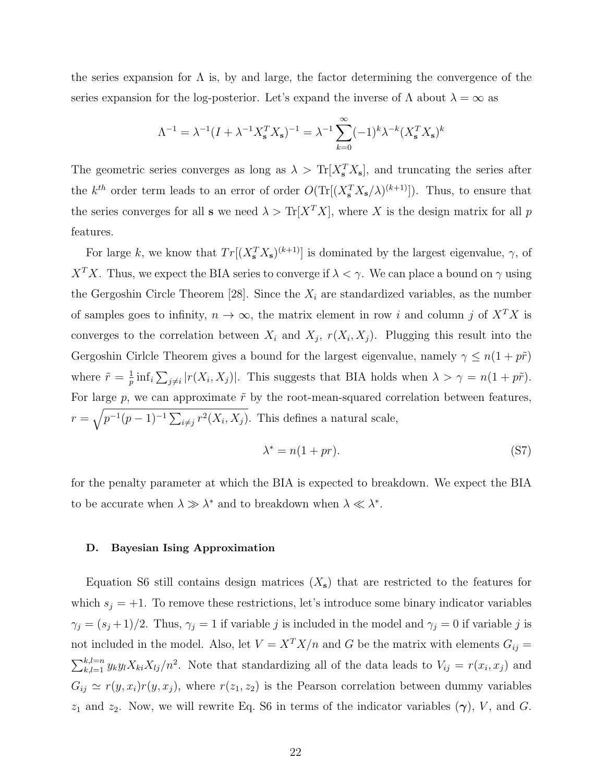the series expansion for  $\Lambda$  is, by and large, the factor determining the convergence of the series expansion for the log-posterior. Let's expand the inverse of  $\Lambda$  about  $\lambda = \infty$  as

$$
\Lambda^{-1} = \lambda^{-1} (I + \lambda^{-1} X_s^T X_s)^{-1} = \lambda^{-1} \sum_{k=0}^{\infty} (-1)^k \lambda^{-k} (X_s^T X_s)^k
$$

The geometric series converges as long as  $\lambda > \text{Tr}[X_s^T X_s]$ , and truncating the series after the  $k^{th}$  order term leads to an error of order  $O(\text{Tr}[(X_s^T X_s/\lambda)^{(k+1)}])$ . Thus, to ensure that the series converges for all **s** we need  $\lambda > \text{Tr}[X^T X]$ , where X is the design matrix for all p features.

For large k, we know that  $Tr[(X_s^T X_s)^{(k+1)}]$  is dominated by the largest eigenvalue,  $\gamma$ , of  $X^T X$ . Thus, we expect the BIA series to converge if  $\lambda < \gamma$ . We can place a bound on  $\gamma$  using the Gergoshin Circle Theorem [28]. Since the  $X_i$  are standardized variables, as the number of samples goes to infinity,  $n \to \infty$ , the matrix element in row i and column j of  $X^T X$  is converges to the correlation between  $X_i$  and  $X_j$ ,  $r(X_i, X_j)$ . Plugging this result into the Gergoshin Cirlcle Theorem gives a bound for the largest eigenvalue, namely  $\gamma \leq n(1 + p\tilde{r})$ where  $\tilde{r} = \frac{1}{n}$  $\frac{1}{p}$  inf<sub>i</sub>  $\sum_{j\neq i} |r(X_i, X_j)|$ . This suggests that BIA holds when  $\lambda > \gamma = n(1 + p\tilde{r})$ . For large p, we can approximate  $\tilde{r}$  by the root-mean-squared correlation between features,  $r = \sqrt{p^{-1}(p-1)^{-1} \sum_{i \neq j} r^2(X_i, X_j)}$ . This defines a natural scale,

$$
\lambda^* = n(1+pr). \tag{S7}
$$

for the penalty parameter at which the BIA is expected to breakdown. We expect the BIA to be accurate when  $\lambda \gg \lambda^*$  and to breakdown when  $\lambda \ll \lambda^*$ .

# D. Bayesian Ising Approximation

Equation S6 still contains design matrices  $(X<sub>s</sub>)$  that are restricted to the features for which  $s_i = +1$ . To remove these restrictions, let's introduce some binary indicator variables  $\gamma_j = (s_j + 1)/2$ . Thus,  $\gamma_j = 1$  if variable j is included in the model and  $\gamma_j = 0$  if variable j is not included in the model. Also, let  $V = X^T X/n$  and G be the matrix with elements  $G_{ij} =$  $\sum_{k,l=1}^{k,l=n} y_k y_l X_{ki} X_{lj}/n^2$ . Note that standardizing all of the data leads to  $V_{ij} = r(x_i, x_j)$  and  $G_{ij} \simeq r(y, x_i)r(y, x_j)$ , where  $r(z_1, z_2)$  is the Pearson correlation between dummy variables  $z_1$  and  $z_2$ . Now, we will rewrite Eq. S6 in terms of the indicator variables  $(\gamma)$ , V, and G.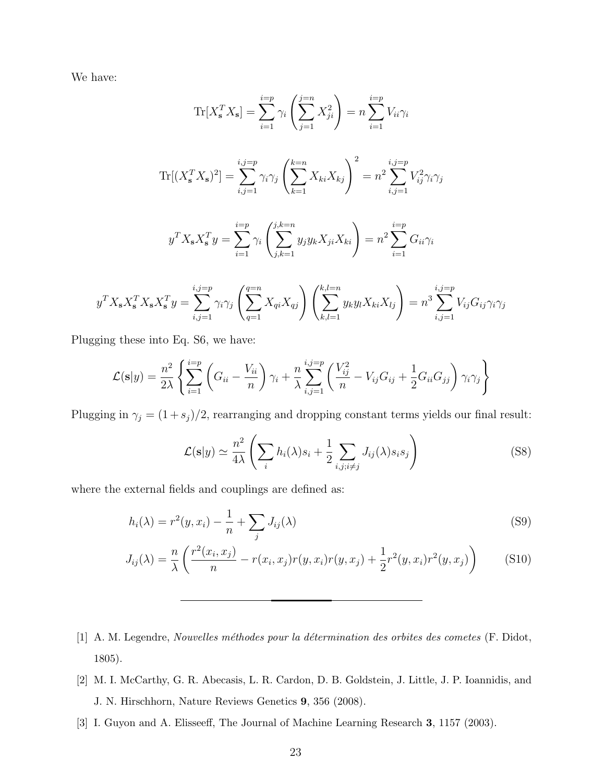We have:

$$
\text{Tr}[X_{\mathbf{s}}^T X_{\mathbf{s}}] = \sum_{i=1}^{i=p} \gamma_i \left( \sum_{j=1}^{j=n} X_{ji}^2 \right) = n \sum_{i=1}^{i=p} V_{ii} \gamma_i
$$
\n
$$
\text{Tr}[(X_{\mathbf{s}}^T X_{\mathbf{s}})^2] = \sum_{i,j=1}^{i,j=p} \gamma_i \gamma_j \left( \sum_{k=1}^{k=n} X_{ki} X_{kj} \right)^2 = n^2 \sum_{i,j=1}^{i,j=p} V_{ij}^2 \gamma_i \gamma_j
$$
\n
$$
y^T X_{\mathbf{s}} X_{\mathbf{s}}^T y = \sum_{i=1}^{i=p} \gamma_i \left( \sum_{j,k=1}^{j,k=n} y_j y_k X_{ji} X_{ki} \right) = n^2 \sum_{i=1}^{i=p} G_{ii} \gamma_i
$$

$$
y^T X_s X_s^T X_s X_s^T y = \sum_{i,j=1}^{i,j=p} \gamma_i \gamma_j \left( \sum_{q=1}^{q=n} X_{qi} X_{qj} \right) \left( \sum_{k,l=1}^{k,l=n} y_k y_l X_{ki} X_{lj} \right) = n^3 \sum_{i,j=1}^{i,j=p} V_{ij} G_{ij} \gamma_i \gamma_j
$$

Plugging these into Eq. S6, we have:

$$
\mathcal{L}(\mathbf{s}|y) = \frac{n^2}{2\lambda} \left\{ \sum_{i=1}^{i=p} \left( G_{ii} - \frac{V_{ii}}{n} \right) \gamma_i + \frac{n}{\lambda} \sum_{i,j=1}^{i,j=p} \left( \frac{V_{ij}^2}{n} - V_{ij} G_{ij} + \frac{1}{2} G_{ii} G_{jj} \right) \gamma_i \gamma_j \right\}
$$

Plugging in  $\gamma_j = (1 + s_j)/2$ , rearranging and dropping constant terms yields our final result:

$$
\mathcal{L}(\mathbf{s}|y) \simeq \frac{n^2}{4\lambda} \left( \sum_i h_i(\lambda) s_i + \frac{1}{2} \sum_{i,j;i \neq j} J_{ij}(\lambda) s_i s_j \right) \tag{S8}
$$

where the external fields and couplings are defined as:

$$
h_i(\lambda) = r^2(y, x_i) - \frac{1}{n} + \sum_j J_{ij}(\lambda)
$$
\n(S9)

$$
J_{ij}(\lambda) = \frac{n}{\lambda} \left( \frac{r^2(x_i, x_j)}{n} - r(x_i, x_j) r(y, x_i) r(y, x_j) + \frac{1}{2} r^2(y, x_i) r^2(y, x_j) \right)
$$
(S10)

- [1] A. M. Legendre, Nouvelles méthodes pour la détermination des orbites des cometes (F. Didot, 1805).
- [2] M. I. McCarthy, G. R. Abecasis, L. R. Cardon, D. B. Goldstein, J. Little, J. P. Ioannidis, and J. N. Hirschhorn, Nature Reviews Genetics 9, 356 (2008).
- [3] I. Guyon and A. Elisseeff, The Journal of Machine Learning Research 3, 1157 (2003).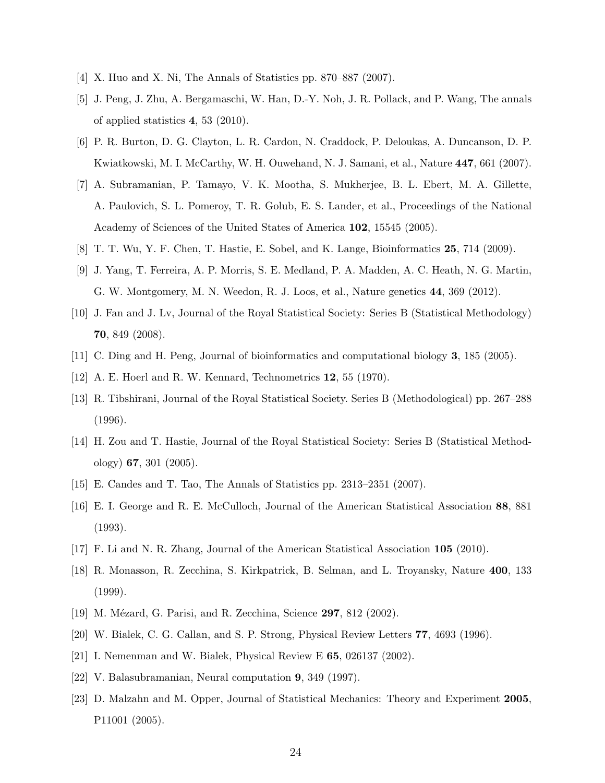- [4] X. Huo and X. Ni, The Annals of Statistics pp. 870–887 (2007).
- [5] J. Peng, J. Zhu, A. Bergamaschi, W. Han, D.-Y. Noh, J. R. Pollack, and P. Wang, The annals of applied statistics 4, 53 (2010).
- [6] P. R. Burton, D. G. Clayton, L. R. Cardon, N. Craddock, P. Deloukas, A. Duncanson, D. P. Kwiatkowski, M. I. McCarthy, W. H. Ouwehand, N. J. Samani, et al., Nature 447, 661 (2007).
- [7] A. Subramanian, P. Tamayo, V. K. Mootha, S. Mukherjee, B. L. Ebert, M. A. Gillette, A. Paulovich, S. L. Pomeroy, T. R. Golub, E. S. Lander, et al., Proceedings of the National Academy of Sciences of the United States of America 102, 15545 (2005).
- [8] T. T. Wu, Y. F. Chen, T. Hastie, E. Sobel, and K. Lange, Bioinformatics 25, 714 (2009).
- [9] J. Yang, T. Ferreira, A. P. Morris, S. E. Medland, P. A. Madden, A. C. Heath, N. G. Martin, G. W. Montgomery, M. N. Weedon, R. J. Loos, et al., Nature genetics 44, 369 (2012).
- [10] J. Fan and J. Lv, Journal of the Royal Statistical Society: Series B (Statistical Methodology) 70, 849 (2008).
- [11] C. Ding and H. Peng, Journal of bioinformatics and computational biology 3, 185 (2005).
- [12] A. E. Hoerl and R. W. Kennard, Technometrics 12, 55 (1970).
- [13] R. Tibshirani, Journal of the Royal Statistical Society. Series B (Methodological) pp. 267–288 (1996).
- [14] H. Zou and T. Hastie, Journal of the Royal Statistical Society: Series B (Statistical Methodology) 67, 301 (2005).
- [15] E. Candes and T. Tao, The Annals of Statistics pp. 2313–2351 (2007).
- [16] E. I. George and R. E. McCulloch, Journal of the American Statistical Association 88, 881 (1993).
- [17] F. Li and N. R. Zhang, Journal of the American Statistical Association 105 (2010).
- [18] R. Monasson, R. Zecchina, S. Kirkpatrick, B. Selman, and L. Troyansky, Nature 400, 133 (1999).
- [19] M. Mézard, G. Parisi, and R. Zecchina, Science 297, 812 (2002).
- [20] W. Bialek, C. G. Callan, and S. P. Strong, Physical Review Letters 77, 4693 (1996).
- [21] I. Nemenman and W. Bialek, Physical Review E 65, 026137 (2002).
- [22] V. Balasubramanian, Neural computation 9, 349 (1997).
- [23] D. Malzahn and M. Opper, Journal of Statistical Mechanics: Theory and Experiment 2005, P11001 (2005).